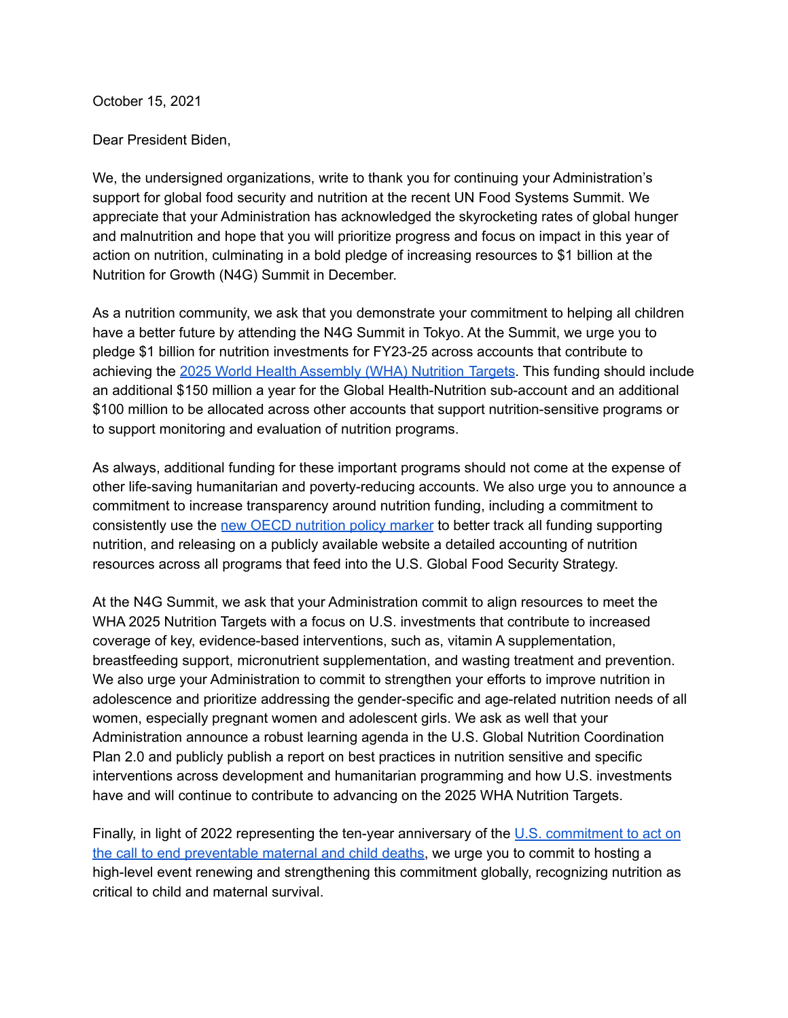October 15, 2021

Dear President Biden,

We, the undersigned organizations, write to thank you for continuing your Administration's support for global food security and nutrition at the recent UN Food Systems Summit. We appreciate that your Administration has acknowledged the skyrocketing rates of global hunger and malnutrition and hope that you will prioritize progress and focus on impact in this year of action on nutrition, culminating in a bold pledge of increasing resources to \$1 billion at the Nutrition for Growth (N4G) Summit in December.

As a nutrition community, we ask that you demonstrate your commitment to helping all children have a better future by attending the N4G Summit in Tokyo. At the Summit, we urge you to pledge \$1 billion for nutrition investments for FY23-25 across accounts that contribute to achieving the 2025 World Health [Assembly](https://www.who.int/teams/nutrition-and-food-safety/global-targets-2025) (WHA) Nutrition Targets. This funding should include an additional \$150 million a year for the Global Health-Nutrition sub-account and an additional \$100 million to be allocated across other accounts that support nutrition-sensitive programs or to support monitoring and evaluation of nutrition programs.

As always, additional funding for these important programs should not come at the expense of other life-saving humanitarian and poverty-reducing accounts. We also urge you to announce a commitment to increase transparency around nutrition funding, including a commitment to consistently use the new OECD [nutrition](https://scalingupnutrition.org/news/oecd-nutrition-policy-marker-handbook-available-online/) policy marker to better track all funding supporting nutrition, and releasing on a publicly available website a detailed accounting of nutrition resources across all programs that feed into the U.S. Global Food Security Strategy.

At the N4G Summit, we ask that your Administration commit to align resources to meet the WHA 2025 Nutrition Targets with a focus on U.S. investments that contribute to increased coverage of key, evidence-based interventions, such as, vitamin A supplementation, breastfeeding support, micronutrient supplementation, and wasting treatment and prevention. We also urge your Administration to commit to strengthen your efforts to improve nutrition in adolescence and prioritize addressing the gender-specific and age-related nutrition needs of all women, especially pregnant women and adolescent girls. We ask as well that your Administration announce a robust learning agenda in the U.S. Global Nutrition Coordination Plan 2.0 and publicly publish a report on best practices in nutrition sensitive and specific interventions across development and humanitarian programming and how U.S. investments have and will continue to contribute to advancing on the 2025 WHA Nutrition Targets.

Finally, in light of 2022 representing the ten-year anniversary of the U.S. [commitment](https://www.usaid.gov/ActingOnTheCall) to act on the call to end [preventable](https://www.usaid.gov/ActingOnTheCall) maternal and child deaths, we urge you to commit to hosting a high-level event renewing and strengthening this commitment globally, recognizing nutrition as critical to child and maternal survival.